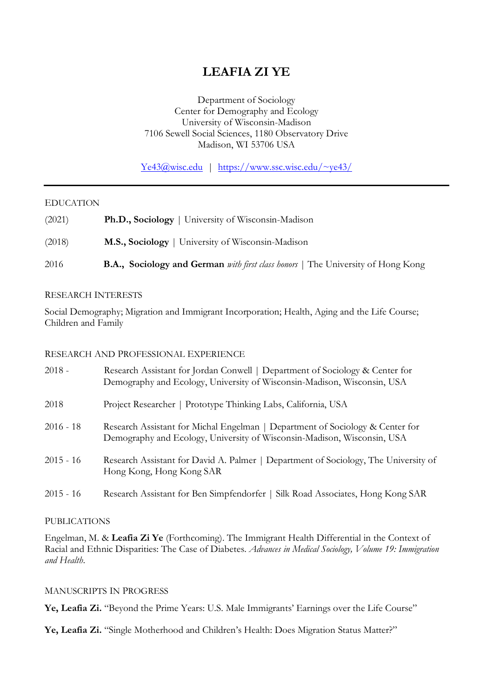# **LEAFIA ZI YE**

Department of Sociology Center for Demography and Ecology University of Wisconsin-Madison 7106 Sewell Social Sciences, 1180 Observatory Drive Madison, WI 53706 USA

Ye43@wisc.edu | https://www.ssc.wisc.edu/~ye43/

#### EDUCATION

- (2021) **Ph.D., Sociology** | University of Wisconsin-Madison
- (2018) **M.S., Sociology** | University of Wisconsin-Madison

2016 **B.A., Sociology and German** *with first class honors* | The University of Hong Kong

#### RESEARCH INTERESTS

Social Demography; Migration and Immigrant Incorporation; Health, Aging and the Life Course; Children and Family

#### RESEARCH AND PROFESSIONAL EXPERIENCE

| $2018 -$    | Research Assistant for Jordan Conwell   Department of Sociology & Center for<br>Demography and Ecology, University of Wisconsin-Madison, Wisconsin, USA  |
|-------------|----------------------------------------------------------------------------------------------------------------------------------------------------------|
| 2018        | Project Researcher   Prototype Thinking Labs, California, USA                                                                                            |
| $2016 - 18$ | Research Assistant for Michal Engelman   Department of Sociology & Center for<br>Demography and Ecology, University of Wisconsin-Madison, Wisconsin, USA |
| $2015 - 16$ | Research Assistant for David A. Palmer   Department of Sociology, The University of<br>Hong Kong, Hong Kong SAR                                          |
| $2015 - 16$ | Research Assistant for Ben Simpfendorfer   Silk Road Associates, Hong Kong SAR                                                                           |

#### PUBLICATIONS

Engelman, M. & **Leafia Zi Ye** (Forthcoming). The Immigrant Health Differential in the Context of Racial and Ethnic Disparities: The Case of Diabetes. *Advances in Medical Sociology, Volume 19: Immigration and Health*.

#### MANUSCRIPTS IN PROGRESS

**Ye, Leafia Zi.** "Beyond the Prime Years: U.S. Male Immigrants' Earnings over the Life Course"

**Ye, Leafia Zi.** "Single Motherhood and Children's Health: Does Migration Status Matter?"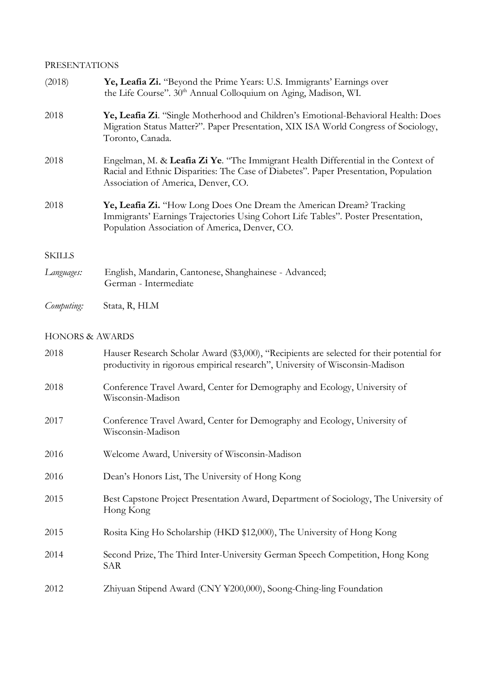### PRESENTATIONS

| (2018)        | Ye, Leafia Zi. "Beyond the Prime Years: U.S. Immigrants' Earnings over<br>the Life Course". 30th Annual Colloquium on Aging, Madison, WI.                                                                        |
|---------------|------------------------------------------------------------------------------------------------------------------------------------------------------------------------------------------------------------------|
| 2018          | Ye, Leafia Zi. "Single Motherhood and Children's Emotional-Behavioral Health: Does<br>Migration Status Matter?". Paper Presentation, XIX ISA World Congress of Sociology,<br>Toronto, Canada.                    |
| 2018          | Engelman, M. & Leafia Zi Ye. "The Immigrant Health Differential in the Context of<br>Racial and Ethnic Disparities: The Case of Diabetes". Paper Presentation, Population<br>Association of America, Denver, CO. |
| 2018          | Ye, Leafia Zi. "How Long Does One Dream the American Dream? Tracking<br>Immigrants' Earnings Trajectories Using Cohort Life Tables". Poster Presentation,<br>Population Association of America, Denver, CO.      |
| <b>SKILLS</b> |                                                                                                                                                                                                                  |
| Languages:    | English, Mandarin, Cantonese, Shanghainese - Advanced;<br>German - Intermediate                                                                                                                                  |
| Computing:    | Stata, R, HLM                                                                                                                                                                                                    |

## HONORS & AWARDS

| 2018 | Hauser Research Scholar Award (\$3,000), "Recipients are selected for their potential for<br>productivity in rigorous empirical research", University of Wisconsin-Madison |
|------|----------------------------------------------------------------------------------------------------------------------------------------------------------------------------|
| 2018 | Conference Travel Award, Center for Demography and Ecology, University of<br>Wisconsin-Madison                                                                             |
| 2017 | Conference Travel Award, Center for Demography and Ecology, University of<br>Wisconsin-Madison                                                                             |
| 2016 | Welcome Award, University of Wisconsin-Madison                                                                                                                             |
| 2016 | Dean's Honors List, The University of Hong Kong                                                                                                                            |
| 2015 | Best Capstone Project Presentation Award, Department of Sociology, The University of<br>Hong Kong                                                                          |
| 2015 | Rosita King Ho Scholarship (HKD \$12,000), The University of Hong Kong                                                                                                     |
| 2014 | Second Prize, The Third Inter-University German Speech Competition, Hong Kong<br>SAR                                                                                       |
| 2012 | Zhiyuan Stipend Award (CNY ¥200,000), Soong-Ching-ling Foundation                                                                                                          |